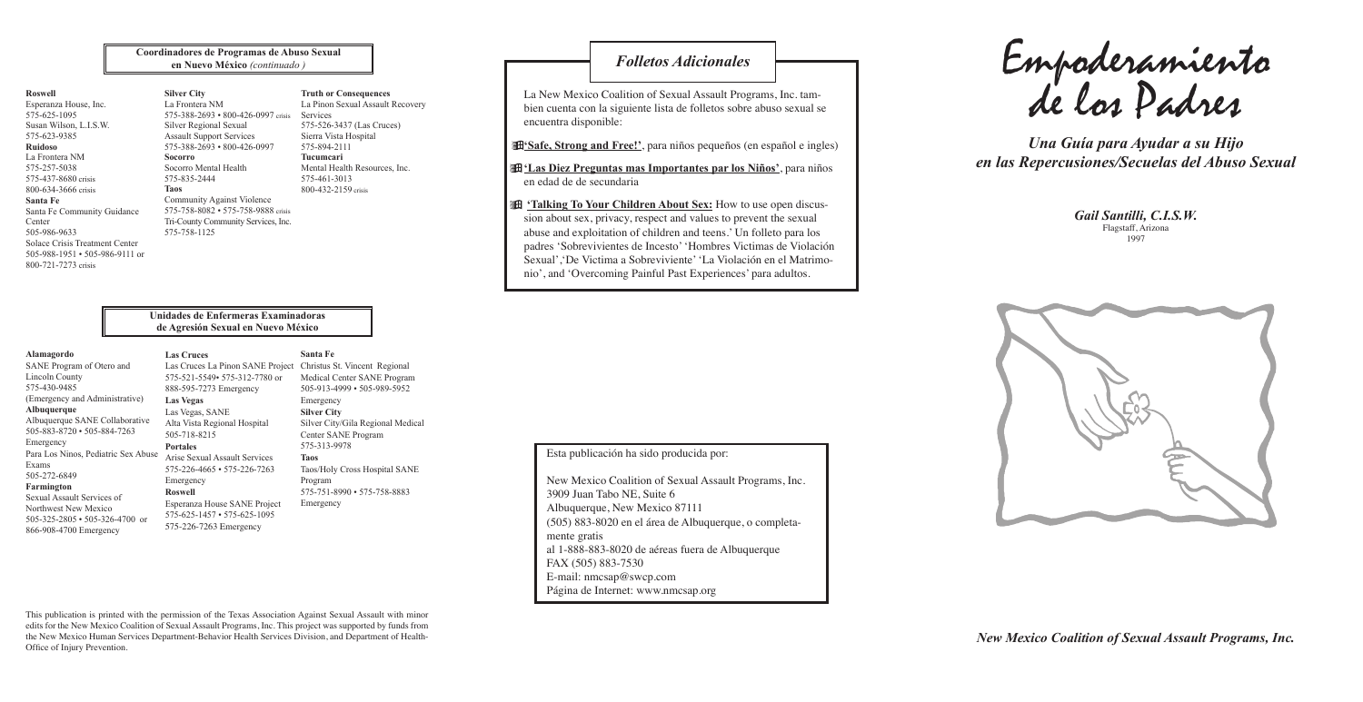Componeramiento Folletos Adicionales **Empoderamiento** de los Padres

*Gail Santilli, C.I.S.W. Gail Santilli, C.I.S.W.* Flagstaff, Arizona Flagstaff, Arizona

*A Guide to Helping Your Child Una Guía para Ayudar a su Hijo in the Aftermath of Sexual Abuse en las Repercusiones/Secuelas del Abuso Sexual*

1997 1997



New Mexico Coalition of Sexual Assault Programs, Inc. *New Mexico Coalition of Sexual Assault Programs, Inc.* 3909 Juan Tabo NE, Suite 6 3909 Juan Tabo NE, Suite 6 Albuquerque, New Mexico 87111  $(505)$  882 8020 cm of área de Albu (505) 883-8020 en el área de Albuquerque, o completa-<br>mante cretis al 1-888-883-8020 de aéreas fuera de Albuquerque FAX (505) 883-7530 FAX (505) 883-7530 E-mail: nmcsap@swcp.com Página de Internet: www.nmcsap.org mente gratis

La New Mexico Coalition of Sexual Assault Programs, Inc. tambien cuenta con la siguiente lista de folletos sobre abuso sexual se  $\overline{A}$ encuentra disponible:

**'Safe, Strong and Free!'**, para niños pequeños (en español e ingles)

**filas Diez Preguntas mas Importantes par los Niños**<sup>'</sup>, para niños en edad de de secundaria

**E** 'Talking To Your Children About Sex: How to use open discusabuse and exploitation of children and teens.' Un folleto para los padres 'Sobrevivientes de Incesto' 'Hombres Victimas de Violación nio', and 'Overcoming Painful Past Experiences' para adultos. discussions about sex, privacy, respect and values to prevent the sion about sex, privacy, respect and values to prevent the sexual Sexual','De Victima a Sobreviviente' 'La Violación en el Matrimo-

*New Mexico Coalition of Sexual Assault Programs, Inc. New Mexico Coalition of Sexual Assault Programs, Inc.*

Esta publicación ha sido producida por:

# *Folletos Adicionales*

This publication is printed with the permission of the Texas Association Against Sexual Assault with minor edits for the New Mexico Coalition of Sexual Assault Programs, Inc. This project was supported by funds from the New Mexico Human Services Department-Behavior Health Services Division, and Department of Health-Office of Injury Prevention.

#### **Roswell**

Esperanza House, Inc. 575-625-1095 Susan Wilson, L.I.S.W. 575-623-9385 **Ruidoso** La Frontera NM 575-257-5038 575-437-8680 crisis 800-634-3666 crisis **Santa Fe** Santa Fe Community Guidance Center 505-986-9633 Solace Crisis Treatment Center 505-988-1951 • 505-986-9111 or 800-721-7273 crisis

#### **Silver City** La Frontera NM 575-388-2693 • 800-426-0997 crisis Silver Regional Sexual Assault Support Services 575-388-2693 • 800-426-0997 **Socorro**

Socorro Mental Health 575-835-2444 **Taos**

Community Against Violence 575-758-8082 • 575-758-9888 crisis Tri-County Community Services, Inc.

575-758-1125

**Coordinadores de Programas de Abuso Sexual en Nuevo México** *(continuado )*

> **Truth or Consequences** La Pinon Sexual Assault Recovery

Services

575-526-3437 (Las Cruces) Sierra Vista Hospital

575-894-2111 **Tucumcari** Mental Health Resources, Inc. 575-461-3013 800-432-2159 crisis

#### **Unidades de Enfermeras Examinadoras de Agresión Sexual en Nuevo México**

#### **Alamagordo**

SANE Program of Otero and Lincoln County 575-430-9485 (Emergency and Administrative) **Albuquerque** Albuquerque SANE Collaborative 505-883-8720 • 505-884-7263 Emergency Para Los Ninos, Pediatric Sex Abuse Exams 505-272-6849 **Farmington** Sexual Assault Services of Northwest New Mexico

505-325-2805 • 505-326-4700 or 866-908-4700 Emergency

**Las Cruces**

575-521-5549• 575-312-7780 or

**Las Vegas**

### 888-595-7273 Emergency Las Vegas, SANE Alta Vista Regional Hospital 505-718-8215 Arise Sexual Assault Services 575-226-4665 • 575-226-7263

**Portales**

Las Cruces La Pinon SANE Project Christus St. Vincent Regional

Emergency **Roswell** Esperanza House SANE Project 575-625-1457 • 575-625-1095 575-226-7263 Emergency

**Santa Fe**

Medical Center SANE Program 505-913-4999 • 505-989-5952 Emergency **Silver City** Silver City/Gila Regional Medical Center SANE Program 575-313-9978 **Taos** Taos/Holy Cross Hospital SANE Program 575-751-8990 • 575-758-8883 Emergency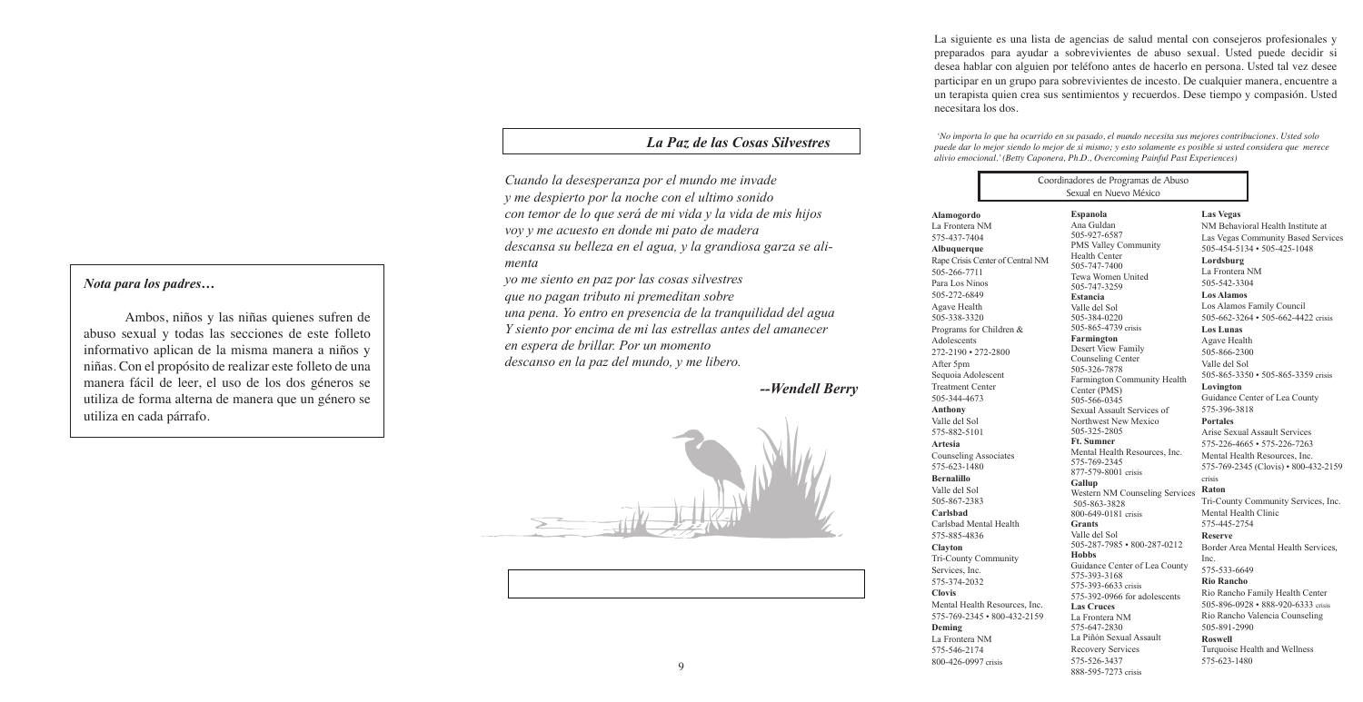#### *Nota para los padres...*  $\frac{1}{\sqrt{2}}$  make the use of use of use of use of use of use of use of use of use of use of use of use of use of use of use of use of use of use of use of use of use of use of use of use of use of use of use of use of use  $\frac{1}{2}$  and  $\frac{1}{2}$  this information because  $\frac{1}{2}$ and pure too puur come

Ambos, niños y las niñas quienes sufren de  $\frac{1}{2}$  abuso sexual y todas las secciones de este folleto informativo aplican de la misma manera a niños y morman completar de la misma manera a misso y niñas. Con el propósito de realizar este folleto de una manera fácil de leer, el uso de los dos géneros se utiliza de forma alterna de manera que un género se utiliza en cada párrafo.

and all sections of this information of the third information of the third information of the third information

*and I wake in the night at the least sound Cuando la desesperanza por el mundo me invade in fear of what my life and my children's lives may be, When despair for the world grows in me y me despierto por la noche con el ultimo sonido When despair for the world grows in me b incresspictive por la nounce con creations sounds* con temor de lo que será de mi vida y la vida de mis hijos voy y me acuesto en donde mi pato de madera *I come into the peace of wild things I go and lie down where the wood drake menta menta i coma*<br>*yo me siento en paz por las cosas silvestres restaurants in his beauty on feeds.*  $\alpha$  *g and the great heron feeds. descansa su belleza en el agua, y la grandiosa garza se alirestains in strikts in the water, fine great heron galler* start.

*And I feel above me the day-blind stars who do not tax their lives with forethought que no pagan tributo ni premeditan sobre who do not tax their lives with forethought* que no pagan niveas in premeanantessive<br>una pena. Yo entro en presencia de la tranquilidad del agua *Independent starts of the grace metal de la manquindade del agus Y siento por encima de mi las estrellas antes del amanecer en sieme por silema as in lights concluded with the silence I rest in the grace of the world, and am free. descanso en la paz del mundo, y me libero.*  Ĭ *I rest in the grace of the world, and am free. Abota para los padres...*<br> *Nota para los padres...*<br> *Ambos, niños y las niñas quienes sufren de*<br> *abuso sexual y todas las secciones de este folleto*<br> *abuso sexual y todas las secciones de este folleto*<br> *abuso sexual* 

*When despair for the world grows in me*

9

#### *The Peace of Wild Things La Paz de las Cosas Silvestres The Peace of Wild Things*

*--Wendell Berry --Wendell Berry*





Mental Health Resources, 575-769-2345 • 800-432-2159

La siguiente es una lista de agencias de salud mental con consejeros profesionales y preparados para ayudar a sobrevivientes de abuso sexual. Usted puede decidir si desea hablar con alguien por teléfono antes de hacerlo en persona. Usted tal vez desee participar en un grupo para sobrevivientes de incesto. De cualquier manera, encuentre a un terapista quien crea sus sentimientos y recuerdos. Dese tiempo y compasión. Usted necesitara los dos.

 *'No importa lo que ha ocurrido en su pasado, el mundo necesita sus mejores contribuciones. Usted solo puede dar lo mejor siendo lo mejor de si mismo; y esto solamente es posible si usted considera que merece alivio emocional.' (Betty Caponera, Ph.D., Overcoming Painful Past Experiences)*

# **Alamogordo**

La Frontera NM 575-437-7404 **Albuquerque** Rape Crisis Center of Central 505-266-7711 Para Los Ninos 505-272-6849 Agave Health 505-338-3320 Programs for Children & Adolescents 272-2190 • 272-2800 After 5pm Sequoia Adolescent Treatment Center 505-344-4673 **Anthony** Valle del Sol 575-882-5101 **Artesia** Counseling Associates 575-623-1480 **Bernalillo** Valle del Sol 505-867-2383 **Carlsbad**

Carlsbad Mental Health 575-885-4836

#### **Clayton**

Tri-County Community Services, Inc. 575-374-2032

**Clovis**

**Deming** La Frontera NM 575-546-2174 800-426-0997 crisis

| Coordinadores de Programas de Abuso<br>Sexual en Nuevo México                                                                                                                                                                                                                                                                                                                                                                                     |                                                                                                                                                                                                                                                                                                                                                                                                                                                                                                                 |                                                                                                                                                                                                                                                                                                                                                                                                                                                                                                                                                                                                                                                                                                                                                                                                                                                                                                                                                                                                       |
|---------------------------------------------------------------------------------------------------------------------------------------------------------------------------------------------------------------------------------------------------------------------------------------------------------------------------------------------------------------------------------------------------------------------------------------------------|-----------------------------------------------------------------------------------------------------------------------------------------------------------------------------------------------------------------------------------------------------------------------------------------------------------------------------------------------------------------------------------------------------------------------------------------------------------------------------------------------------------------|-------------------------------------------------------------------------------------------------------------------------------------------------------------------------------------------------------------------------------------------------------------------------------------------------------------------------------------------------------------------------------------------------------------------------------------------------------------------------------------------------------------------------------------------------------------------------------------------------------------------------------------------------------------------------------------------------------------------------------------------------------------------------------------------------------------------------------------------------------------------------------------------------------------------------------------------------------------------------------------------------------|
| Espanola<br>Ana Guldan<br>505-927-6587<br>Health Center<br>l NM<br>505-747-7400<br>505-747-3259<br>Estancia<br>Valle del Sol<br>505-384-0220<br>Farmington<br>505-326-7878<br>Center (PMS)<br>505-566-0345<br>505-325-2805<br><b>Ft. Sumner</b><br>575-769-2345<br>Gallup<br>505-863-3828<br><b>Grants</b><br>Valle del Sol<br><b>Hobbs</b><br>575-393-3168<br>Inc.<br><b>Las Cruces</b><br>159<br>La Frontera NM<br>575-647-2830<br>575-526-3437 | PMS Valley Community<br>Tewa Women United<br>505-865-4739 crisis<br>Desert View Family<br>Counseling Center<br>Farmington Community Health<br>Sexual Assault Services of<br>Northwest New Mexico<br>Mental Health Resources, Inc.<br>877-579-8001 crisis<br>Western NM Counseling Services<br>800-649-0181 crisis<br>505-287-7985 • 800-287-0212<br>Guidance Center of Lea County<br>575-393-6633 crisis<br>575-392-0966 for adolescents<br>La Piñón Sexual Assault<br>Recovery Services<br>888-595-7273 crisis | <b>Las Vegas</b><br>NM Behavioral Health Institute at<br>Las Vegas Community Based Services<br>505-454-5134 • 505-425-1048<br>Lordsburg<br>La Frontera NM<br>505-542-3304<br><b>Los Alamos</b><br>Los Alamos Family Council<br>505-662-3264 • 505-662-4422 crisis<br><b>Los Lunas</b><br>Agave Health<br>505-866-2300<br>Valle del Sol<br>505-865-3350 • 505-865-3359 crisis<br>Lovington<br>Guidance Center of Lea County<br>575-396-3818<br><b>Portales</b><br>Arise Sexual Assault Services<br>575-226-4665 • 575-226-7263<br>Mental Health Resources, Inc.<br>575-769-2345 (Clovis) • 800-432-2159<br>crisis<br>Raton<br>Tri-County Community Services, Inc.<br>Mental Health Clinic<br>575-445-2754<br><b>Reserve</b><br>Border Area Mental Health Services,<br>Inc.<br>575-533-6649<br><b>Rio Rancho</b><br>Rio Rancho Family Health Center<br>505-896-0928 • 888-920-6333 crisis<br>Rio Rancho Valencia Counseling<br>505-891-2990<br>Roswell<br>Turquoise Health and Wellness<br>575-623-1480 |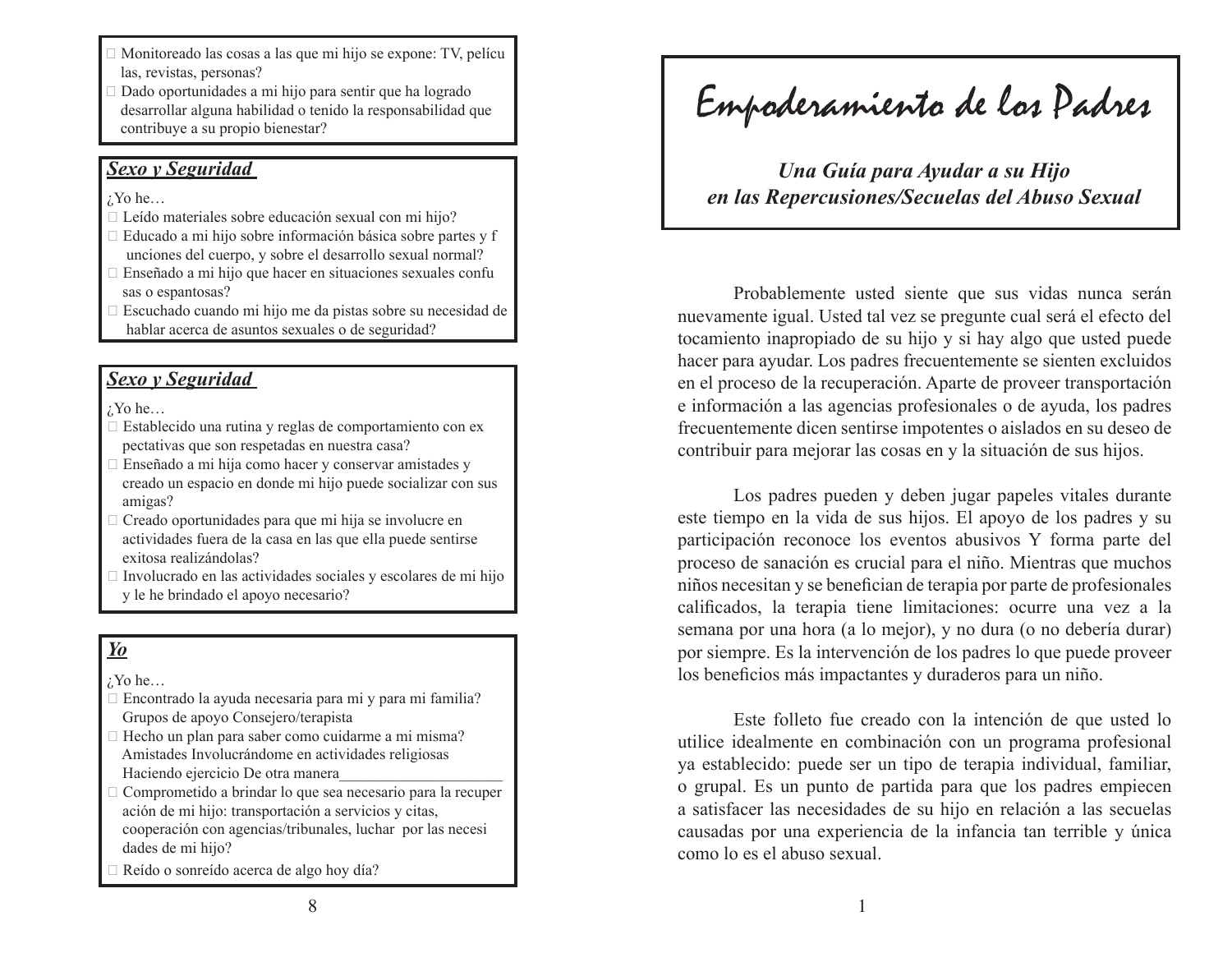- Monitoreado las cosas a las que mi hijo se expone: TV, pelícu las, revistas, personas?
- Dado oportunidades a mi hijo para sentir que ha logrado desarrollar alguna habilidad o tenido la responsabilidad que contribuye a su propio bienestar?

#### *Sexo y Seguridad*

 $i$ <sup>Y</sup>o he…

- $\Box$  Leído materiales sobre educación sexual con mi hijo?
- $\Box$  Educado a mi hijo sobre información básica sobre partes y f unciones del cuerpo, y sobre el desarrollo sexual normal?
- Enseñado a mi hijo que hacer en situaciones sexuales confu sas o espantosas?
- Escuchado cuando mi hijo me da pistas sobre su necesidad de hablar acerca de asuntos sexuales o de seguridad?

## *Sexo y Seguridad*

¿Yo he…

- $\Box$  Establecido una rutina y reglas de comportamiento con ex pectativas que son respetadas en nuestra casa?
- $\Box$  Enseñado a mi hija como hacer y conservar amistades y creado un espacio en donde mi hijo puede socializar con sus amigas?
- $\Box$  Creado oportunidades para que mi hija se involucre en actividades fuera de la casa en las que ella puede sentirse exitosa realizándolas?
- $\Box$  Involucrado en las actividades sociales y escolares de mi hijo y le he brindado el apoyo necesario?

# *Yo*

 $i$ <sup>Y</sup>o he...

- $\Box$  Encontrado la ayuda necesaria para mi y para mi familia? Grupos de apoyo Consejero/terapista
- $\Box$  Hecho un plan para saber como cuidarme a mi misma? Amistades Involucrándome en actividades religiosas Haciendo ejercicio De otra manera
- $\Box$  Comprometido a brindar lo que sea necesario para la recuper ación de mi hijo: transportación a servicios y citas, cooperación con agencias/tribunales, luchar por las necesi dades de mi hijo?
- □ Reído o sonreído acerca de algo hoy día?

Empoderamiento de los Padres

*Una Guía para Ayudar a su Hijo en las Repercusiones/Secuelas del Abuso Sexual*

Probablemente usted siente que sus vidas nunca serán nuevamente igual. Usted tal vez se pregunte cual será el efecto del tocamiento inapropiado de su hijo y si hay algo que usted puede hacer para ayudar. Los padres frecuentemente se sienten excluidos en el proceso de la recuperación. Aparte de proveer transportación e información a las agencias profesionales o de ayuda, los padres frecuentemente dicen sentirse impotentes o aislados en su deseo de contribuir para mejorar las cosas en y la situación de sus hijos.

Los padres pueden y deben jugar papeles vitales durante este tiempo en la vida de sus hijos. El apoyo de los padres y su participación reconoce los eventos abusivos Y forma parte del proceso de sanación es crucial para el niño. Mientras que muchos niños necesitan y se benefician de terapia por parte de profesionales calificados, la terapia tiene limitaciones: ocurre una vez a la semana por una hora (a lo mejor), y no dura (o no debería durar) por siempre. Es la intervención de los padres lo que puede proveer los beneficios más impactantes y duraderos para un niño.

Este folleto fue creado con la intención de que usted lo utilice idealmente en combinación con un programa profesional ya establecido: puede ser un tipo de terapia individual, familiar, o grupal. Es un punto de partida para que los padres empiecen a satisfacer las necesidades de su hijo en relación a las secuelas causadas por una experiencia de la infancia tan terrible y única como lo es el abuso sexual.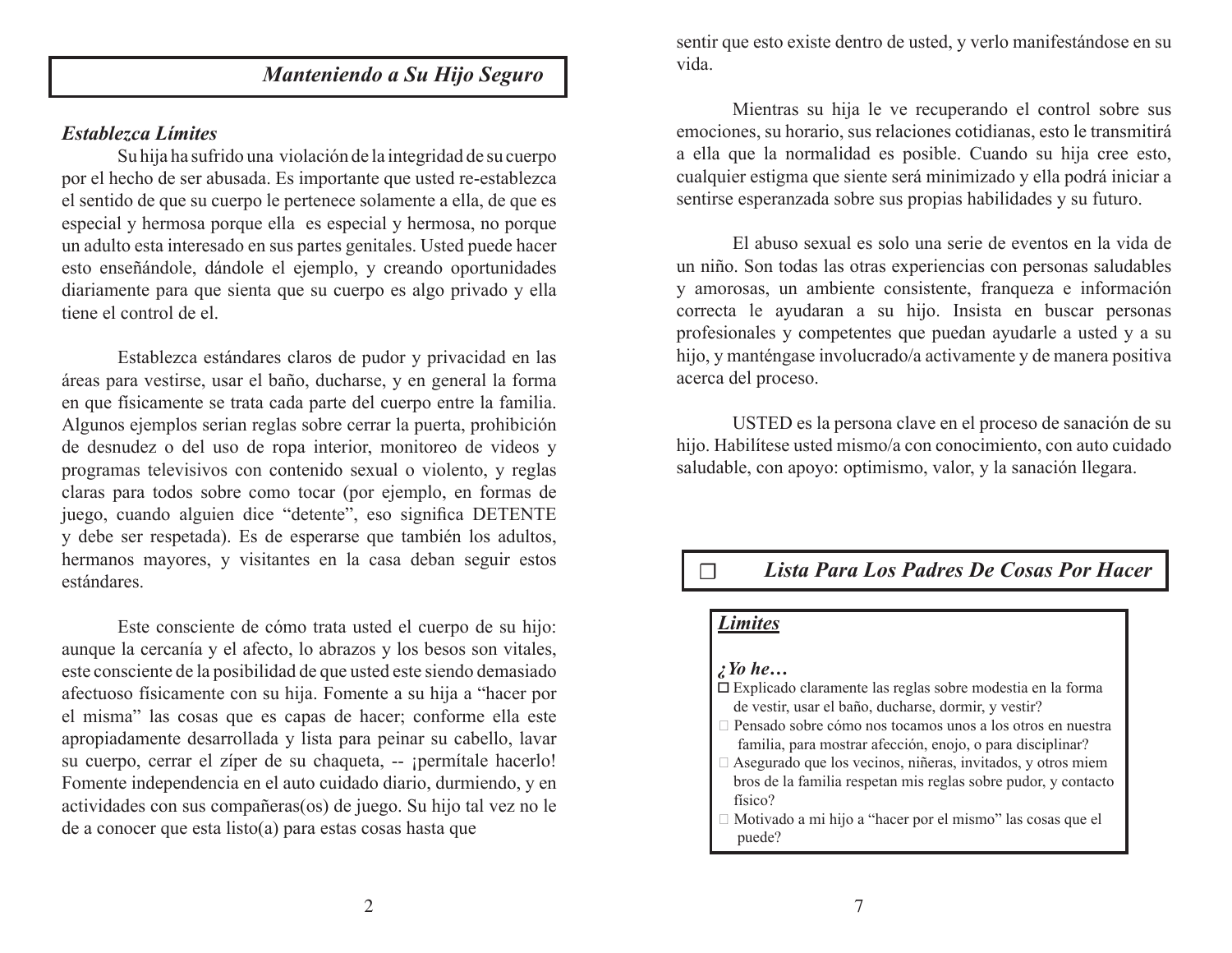# *Manteniendo a Su Hijo Seguro*

#### *Establezca Límites*

Su hija ha sufrido una violación de la integridad de su cuerpo por el hecho de ser abusada. Es importante que usted re-establezca el sentido de que su cuerpo le pertenece solamente a ella, de que es especial y hermosa porque ella es especial y hermosa, no porque un adulto esta interesado en sus partes genitales. Usted puede hacer esto enseñándole, dándole el ejemplo, y creando oportunidades diariamente para que sienta que su cuerpo es algo privado y ella tiene el control de el.

Establezca estándares claros de pudor y privacidad en las áreas para vestirse, usar el baño, ducharse, y en general la forma en que físicamente se trata cada parte del cuerpo entre la familia. Algunos ejemplos serian reglas sobre cerrar la puerta, prohibición de desnudez o del uso de ropa interior, monitoreo de videos y programas televisivos con contenido sexual o violento, y reglas claras para todos sobre como tocar (por ejemplo, en formas de juego, cuando alguien dice "detente", eso significa DETENTE y debe ser respetada). Es de esperarse que también los adultos, hermanos mayores, y visitantes en la casa deban seguir estos estándares.

Este consciente de cómo trata usted el cuerpo de su hijo: aunque la cercanía y el afecto, lo abrazos y los besos son vitales, este consciente de la posibilidad de que usted este siendo demasiado afectuoso físicamente con su hija. Fomente a su hija a "hacer por el misma" las cosas que es capas de hacer; conforme ella este apropiadamente desarrollada y lista para peinar su cabello, lavar su cuerpo, cerrar el zíper de su chaqueta, -- ¡permítale hacerlo! Fomente independencia en el auto cuidado diario, durmiendo, y en actividades con sus compañeras(os) de juego. Su hijo tal vez no le de a conocer que esta listo(a) para estas cosas hasta que

sentir que esto existe dentro de usted, y verlo manifestándose en su vida.

Mientras su hija le ve recuperando el control sobre sus emociones, su horario, sus relaciones cotidianas, esto le transmitirá a ella que la normalidad es posible. Cuando su hija cree esto, cualquier estigma que siente será minimizado y ella podrá iniciar a sentirse esperanzada sobre sus propias habilidades y su futuro.

El abuso sexual es solo una serie de eventos en la vida de un niño. Son todas las otras experiencias con personas saludables y amorosas, un ambiente consistente, franqueza e información correcta le ayudaran a su hijo. Insista en buscar personas profesionales y competentes que puedan ayudarle a usted y a su hijo, y manténgase involucrado/a activamente y de manera positiva acerca del proceso.

USTED es la persona clave en el proceso de sanación de su hijo. Habilítese usted mismo/a con conocimiento, con auto cuidado saludable, con apoyo: optimismo, valor, y la sanación llegara.

# ☐ *Lista Para Los Padres De Cosas Por Hacer*

#### *Limites*

#### *¿Yo he…*

- Explicado claramente las reglas sobre modestia en la forma de vestir, usar el baño, ducharse, dormir, y vestir?
- Pensado sobre cómo nos tocamos unos a los otros en nuestra familia, para mostrar afección, enojo, o para disciplinar?
- Asegurado que los vecinos, niñeras, invitados, y otros miem bros de la familia respetan mis reglas sobre pudor, y contacto físico?
- Motivado a mi hijo a "hacer por el mismo" las cosas que el puede?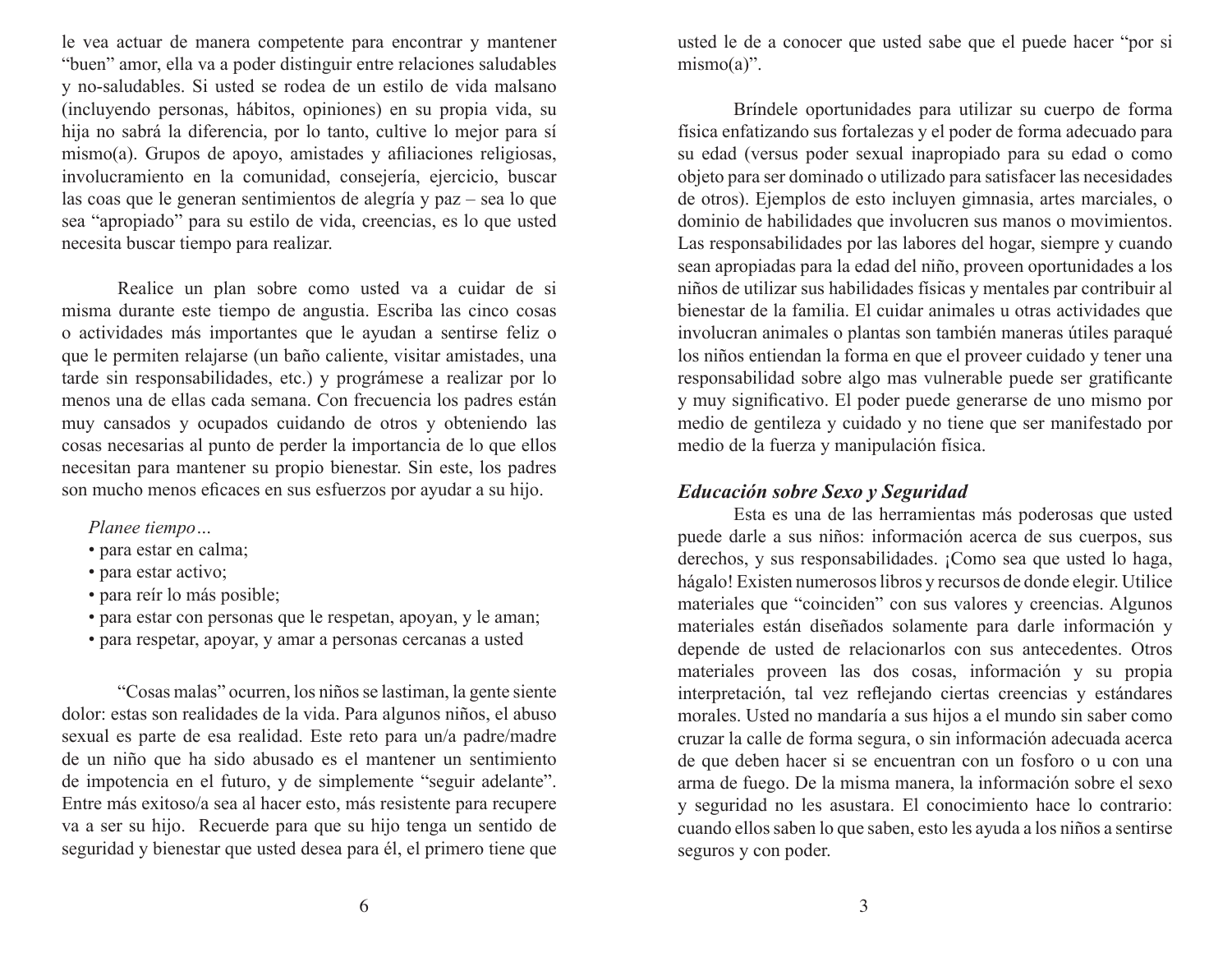le vea actuar de manera competente para encontrar y mantener "buen" amor, ella va a poder distinguir entre relaciones saludables y no-saludables. Si usted se rodea de un estilo de vida malsano (incluyendo personas, hábitos, opiniones) en su propia vida, su hija no sabrá la diferencia, por lo tanto, cultive lo mejor para sí mismo(a). Grupos de apoyo, amistades y afiliaciones religiosas, involucramiento en la comunidad, consejería, ejercicio, buscar las coas que le generan sentimientos de alegría y paz – sea lo que sea "apropiado" para su estilo de vida, creencias, es lo que usted necesita buscar tiempo para realizar.

Realice un plan sobre como usted va a cuidar de si misma durante este tiempo de angustia. Escriba las cinco cosas o actividades más importantes que le ayudan a sentirse feliz o que le permiten relajarse (un baño caliente, visitar amistades, una tarde sin responsabilidades, etc.) y prográmese a realizar por lo menos una de ellas cada semana. Con frecuencia los padres están muy cansados y ocupados cuidando de otros y obteniendo las cosas necesarias al punto de perder la importancia de lo que ellos necesitan para mantener su propio bienestar. Sin este, los padres son mucho menos eficaces en sus esfuerzos por ayudar a su hijo.

*Planee tiempo…*

- para estar en calma;
- para estar activo;
- para reír lo más posible;
- para estar con personas que le respetan, apoyan, y le aman;
- para respetar, apoyar, y amar a personas cercanas a usted

"Cosas malas" ocurren, los niños se lastiman, la gente siente dolor: estas son realidades de la vida. Para algunos niños, el abuso sexual es parte de esa realidad. Este reto para un/a padre/madre de un niño que ha sido abusado es el mantener un sentimiento de impotencia en el futuro, y de simplemente "seguir adelante". Entre más exitoso/a sea al hacer esto, más resistente para recupere va a ser su hijo. Recuerde para que su hijo tenga un sentido de seguridad y bienestar que usted desea para él, el primero tiene que

usted le de a conocer que usted sabe que el puede hacer "por si  $mismo(a)$ ".

Bríndele oportunidades para utilizar su cuerpo de forma física enfatizando sus fortalezas y el poder de forma adecuado para su edad (versus poder sexual inapropiado para su edad o como objeto para ser dominado o utilizado para satisfacer las necesidades de otros). Ejemplos de esto incluyen gimnasia, artes marciales, o dominio de habilidades que involucren sus manos o movimientos. Las responsabilidades por las labores del hogar, siempre y cuando sean apropiadas para la edad del niño, proveen oportunidades a los niños de utilizar sus habilidades físicas y mentales par contribuir al bienestar de la familia. El cuidar animales u otras actividades que involucran animales o plantas son también maneras útiles paraqué los niños entiendan la forma en que el proveer cuidado y tener una responsabilidad sobre algo mas vulnerable puede ser gratificante y muy significativo. El poder puede generarse de uno mismo por medio de gentileza y cuidado y no tiene que ser manifestado por medio de la fuerza y manipulación física.

### *Educación sobre Sexo y Seguridad*

Esta es una de las herramientas más poderosas que usted puede darle a sus niños: información acerca de sus cuerpos, sus derechos, y sus responsabilidades. ¡Como sea que usted lo haga, hágalo! Existen numerosos libros y recursos de donde elegir. Utilice materiales que "coinciden" con sus valores y creencias. Algunos materiales están diseñados solamente para darle información y depende de usted de relacionarlos con sus antecedentes. Otros materiales proveen las dos cosas, información y su propia interpretación, tal vez reflejando ciertas creencias y estándares morales. Usted no mandaría a sus hijos a el mundo sin saber como cruzar la calle de forma segura, o sin información adecuada acerca de que deben hacer si se encuentran con un fosforo o u con una arma de fuego. De la misma manera, la información sobre el sexo y seguridad no les asustara. El conocimiento hace lo contrario: cuando ellos saben lo que saben, esto les ayuda a los niños a sentirse seguros y con poder.